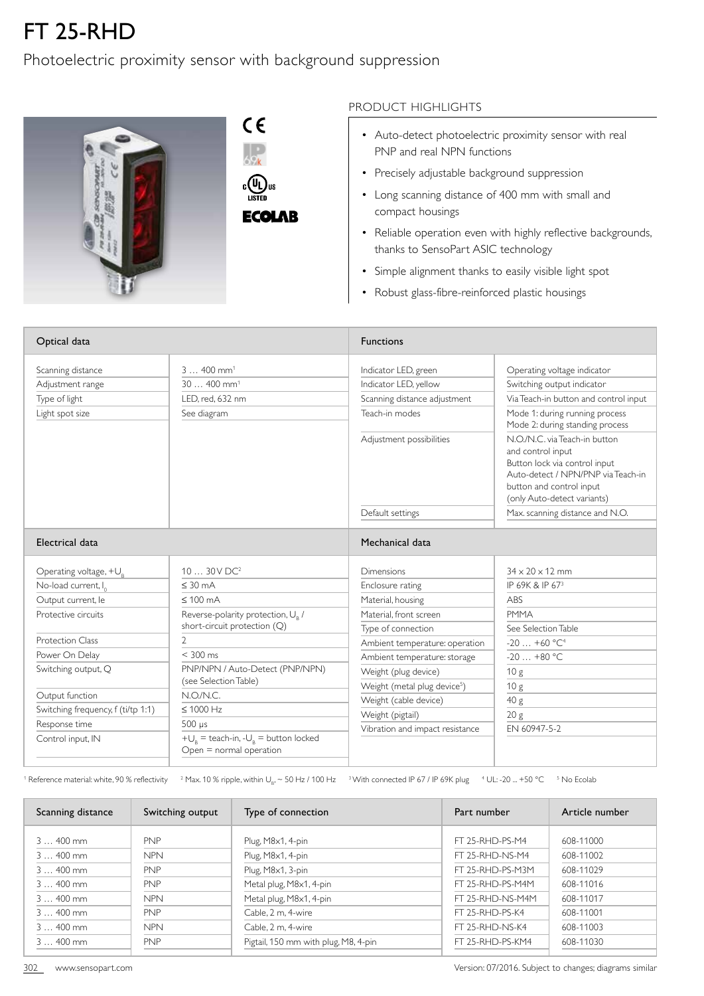## FT 25-RHD

## Photoelectric proximity sensor with background suppression



**ECOLAB** 

## PRODUCT HIGHLIGHTS

- Auto-detect photoelectric proximity sensor with real PNP and real NPN functions
- Precisely adjustable background suppression
- Long scanning distance of 400 mm with small and compact housings
- Reliable operation even with highly reflective backgrounds, thanks to SensoPart ASIC technology
- Simple alignment thanks to easily visible light spot
- Robust glass-fibre-reinforced plastic housings

| Optical data                       |                                                                                   | <b>Functions</b>                         |                                                                                                                                                                                      |  |
|------------------------------------|-----------------------------------------------------------------------------------|------------------------------------------|--------------------------------------------------------------------------------------------------------------------------------------------------------------------------------------|--|
| Scanning distance                  | $3400$ mm <sup>1</sup>                                                            | Indicator LED, green                     | Operating voltage indicator                                                                                                                                                          |  |
| Adjustment range                   | $30400$ mm <sup>1</sup>                                                           | Indicator LED, yellow                    | Switching output indicator                                                                                                                                                           |  |
| Type of light                      | LED. red. 632 nm                                                                  | Scanning distance adjustment             | Via Teach-in button and control input                                                                                                                                                |  |
| Light spot size                    | See diagram                                                                       | Teach-in modes                           | Mode 1: during running process<br>Mode 2: during standing process                                                                                                                    |  |
|                                    |                                                                                   | Adjustment possibilities                 | N.O./N.C. via Teach-in button<br>and control input<br>Button lock via control input<br>Auto-detect / NPN/PNP via Teach-in<br>button and control input<br>(only Auto-detect variants) |  |
|                                    |                                                                                   | Default settings                         | Max. scanning distance and N.O.                                                                                                                                                      |  |
| Electrical data                    |                                                                                   | Mechanical data                          |                                                                                                                                                                                      |  |
| Operating voltage, $+U_{R}$        | $1030V$ DC <sup>2</sup>                                                           | Dimensions                               | $34 \times 20 \times 12$ mm                                                                                                                                                          |  |
| No-load current, I <sub>0</sub>    | $\leq$ 30 mA                                                                      | Enclosure rating                         | IP 69K & IP 673                                                                                                                                                                      |  |
| Output current, le                 | $\leq 100$ mA                                                                     | Material, housing                        | ABS                                                                                                                                                                                  |  |
| Protective circuits                | Reverse-polarity protection, $U_{R}$ /                                            | Material, front screen                   | <b>PMMA</b>                                                                                                                                                                          |  |
|                                    | short-circuit protection (Q)                                                      | Type of connection                       | See Selection Table                                                                                                                                                                  |  |
| <b>Protection Class</b>            | 2                                                                                 | Ambient temperature: operation           | $-20+60$ °C <sup>4</sup>                                                                                                                                                             |  |
| Power On Delay                     | $< 300$ ms                                                                        | Ambient temperature: storage             | $-20+80 °C$                                                                                                                                                                          |  |
| Switching output, Q                | PNP/NPN / Auto-Detect (PNP/NPN)                                                   | Weight (plug device)                     | 10 <sub>g</sub>                                                                                                                                                                      |  |
|                                    | (see Selection Table)                                                             | Weight (metal plug device <sup>5</sup> ) | 10 <sub>g</sub>                                                                                                                                                                      |  |
| Output function                    | N.O/N.C.                                                                          | Weight (cable device)                    | 40 g                                                                                                                                                                                 |  |
| Switching frequency, f (ti/tp 1:1) | $\leq 1000$ Hz                                                                    | Weight (pigtail)                         | 20 <sub>g</sub>                                                                                                                                                                      |  |
| Response time                      | $500 \mu s$                                                                       | Vibration and impact resistance          | FN 60947-5-2                                                                                                                                                                         |  |
| Control input, IN                  | $+U_{\rm a}$ = teach-in, - $U_{\rm g}$ = button locked<br>Open = normal operation |                                          |                                                                                                                                                                                      |  |

 $^{\rm 1}$  Reference material: white, 90 % reflectivity  $^{\rm 2}$  Max. 10 % ripple, within U<sub>B</sub>,  $\sim$  50 Hz / 100 Hz  $^{\rm 3}$  With connected IP 67 / IP 69K plug  $^{\rm 4}$  UL: -20 ... +50 °C  $^{\rm -5}$  No Ecolab

| Scanning distance | Switching output | Type of connection                   | Part number      | Article number |
|-------------------|------------------|--------------------------------------|------------------|----------------|
| $3400$ mm         | <b>PNP</b>       | Plug, M8x1, 4-pin                    | FT 25-RHD-PS-M4  | 608-11000      |
| $3400$ mm         | <b>NPN</b>       | Plug, M8x1, 4-pin                    | FT 25-RHD-NS-M4  | 608-11002      |
| $3400$ mm         | <b>PNP</b>       | Plug, M8x1, 3-pin                    | FT 25-RHD-PS-M3M | 608-11029      |
| $3400$ mm         | <b>PNP</b>       | Metal plug, M8x1, 4-pin              | FT 25-RHD-PS-M4M | 608-11016      |
| $3400$ mm         | <b>NPN</b>       | Metal plug, M8x1, 4-pin              | FT 25-RHD-NS-M4M | 608-11017      |
| $3400$ mm         | <b>PNP</b>       | Cable, 2 m, 4-wire                   | FT 25-RHD-PS-K4  | 608-11001      |
| $3400$ mm         | <b>NPN</b>       | Cable, 2 m, 4-wire                   | FT 25-RHD-NS-K4  | 608-11003      |
| $3400$ mm         | <b>PNP</b>       | Pigtail, 150 mm with plug, M8, 4-pin | FT 25-RHD-PS-KM4 | 608-11030      |